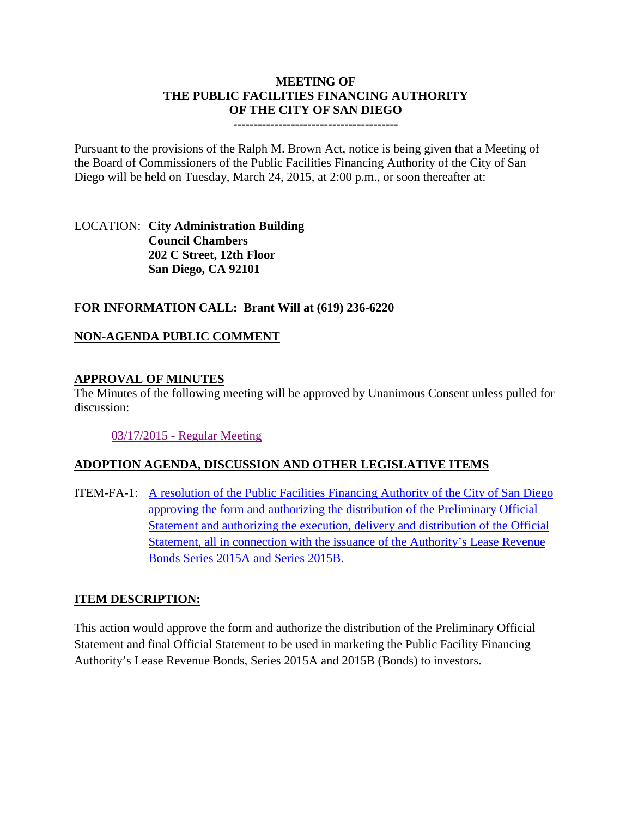# **MEETING OF THE PUBLIC FACILITIES FINANCING AUTHORITY OF THE CITY OF SAN DIEGO**

**----------------------------------------**

Pursuant to the provisions of the Ralph M. Brown Act, notice is being given that a Meeting of the Board of Commissioners of the Public Facilities Financing Authority of the City of San Diego will be held on Tuesday, March 24, 2015, at 2:00 p.m., or soon thereafter at:

LOCATION: **City Administration Building Council Chambers 202 C Street, 12th Floor San Diego, CA 92101** 

### **FOR INFORMATION CALL: Brant Will at (619) 236-6220**

### **NON-AGENDA PUBLIC COMMENT**

#### **APPROVAL OF MINUTES**

The Minutes of the following meeting will be approved by Unanimous Consent unless pulled for discussion:

[03/17/2015 -](http://www.sandiego.gov/city-clerk/pdf/pffa/pffaminutes150317.pdf) Regular Meeting

#### **ADOPTION AGENDA, DISCUSSION AND OTHER LEGISLATIVE ITEMS**

ITEM-FA-1: [A resolution of the Public Facilities Financing Authority of the City of San Diego](http://www.sandiego.gov/city-clerk/pdf/pffa/pffaexhibit150324.pdf)  [approving the form and authorizing the distribution of the Preliminary Official](http://www.sandiego.gov/city-clerk/pdf/pffa/pffaexhibit150324.pdf)  [Statement and authorizing the execution, delivery and distribution of the Official](http://www.sandiego.gov/city-clerk/pdf/pffa/pffaexhibit150324.pdf)  [Statement, all in connection with the issuance of the Authority's Lease Revenue](http://www.sandiego.gov/city-clerk/pdf/pffa/pffaexhibit150324.pdf)  [Bonds Series 2015A and Series 2015B.](http://www.sandiego.gov/city-clerk/pdf/pffa/pffaexhibit150324.pdf)

## **ITEM DESCRIPTION:**

This action would approve the form and authorize the distribution of the Preliminary Official Statement and final Official Statement to be used in marketing the Public Facility Financing Authority's Lease Revenue Bonds, Series 2015A and 2015B (Bonds) to investors.